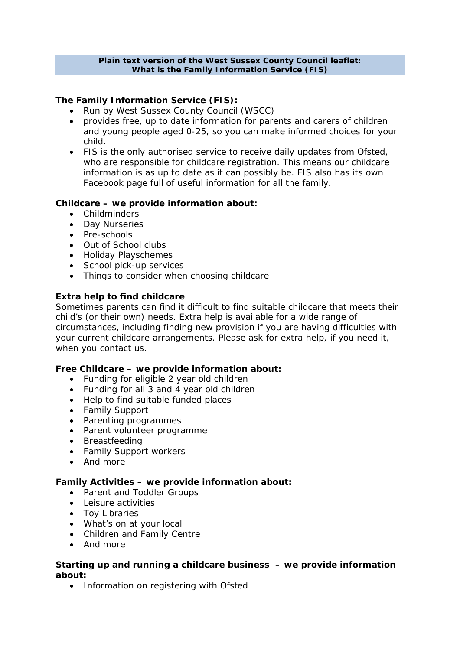#### **Plain text version of the West Sussex County Council leaflet: What is the Family Information Service (FIS)**

# **The Family Information Service (FIS):**

- Run by West Sussex County Council (WSCC)
- provides free, up to date information for parents and carers of children and young people aged 0-25, so you can make informed choices for your child.
- FIS is the only authorised service to receive daily updates from Ofsted, who are responsible for childcare registration. This means our childcare information is as up to date as it can possibly be. FIS also has its own Facebook page full of useful information for all the family.

# **Childcare – we provide information about:**

- Childminders
- Day Nurseries
- Pre-schools
- Out of School clubs
- Holiday Playschemes
- School pick-up services
- Things to consider when choosing childcare

### **Extra help to find childcare**

Sometimes parents can find it difficult to find suitable childcare that meets their child's (or their own) needs. Extra help is available for a wide range of circumstances, including finding new provision if you are having difficulties with your current childcare arrangements. Please ask for extra help, if you need it, when you contact us.

### **Free Childcare – we provide information about:**

- Funding for eligible 2 year old children
- Funding for all 3 and 4 year old children
- Help to find suitable funded places
- Family Support
- Parenting programmes
- Parent volunteer programme
- Breastfeeding
- Family Support workers
- And more

### **Family Activities – we provide information about:**

- Parent and Toddler Groups
- Leisure activities
- Toy Libraries
- What's on at your local
- Children and Family Centre
- And more

### **Starting up and running a childcare business – we provide information about:**

• Information on registering with Ofsted